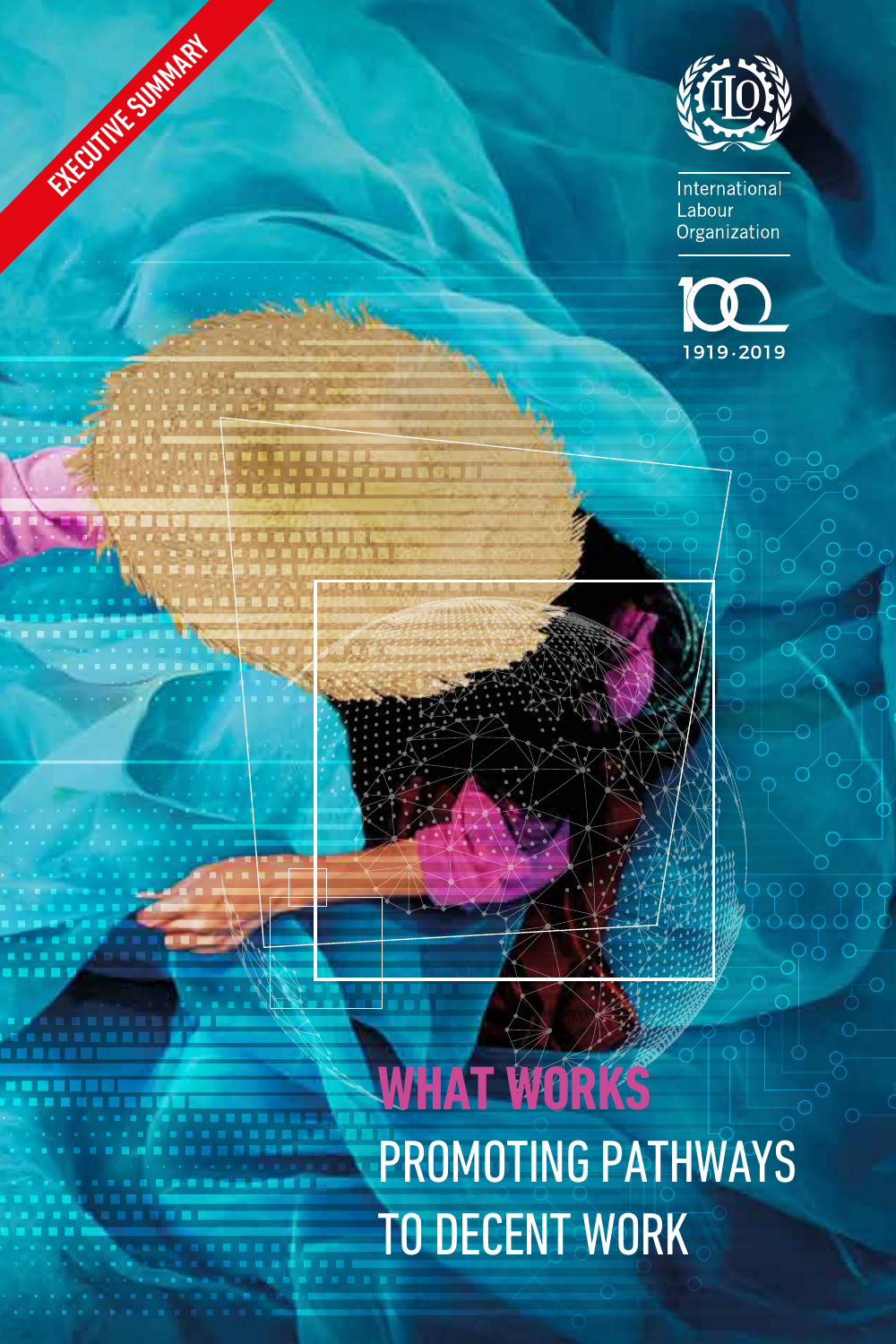

EXECUTIVE SUMMARY

International Labour Organization



# **WHAT WORKS**  PROMOTING PATHWAYS TO DECENT WORK

L **LOREM**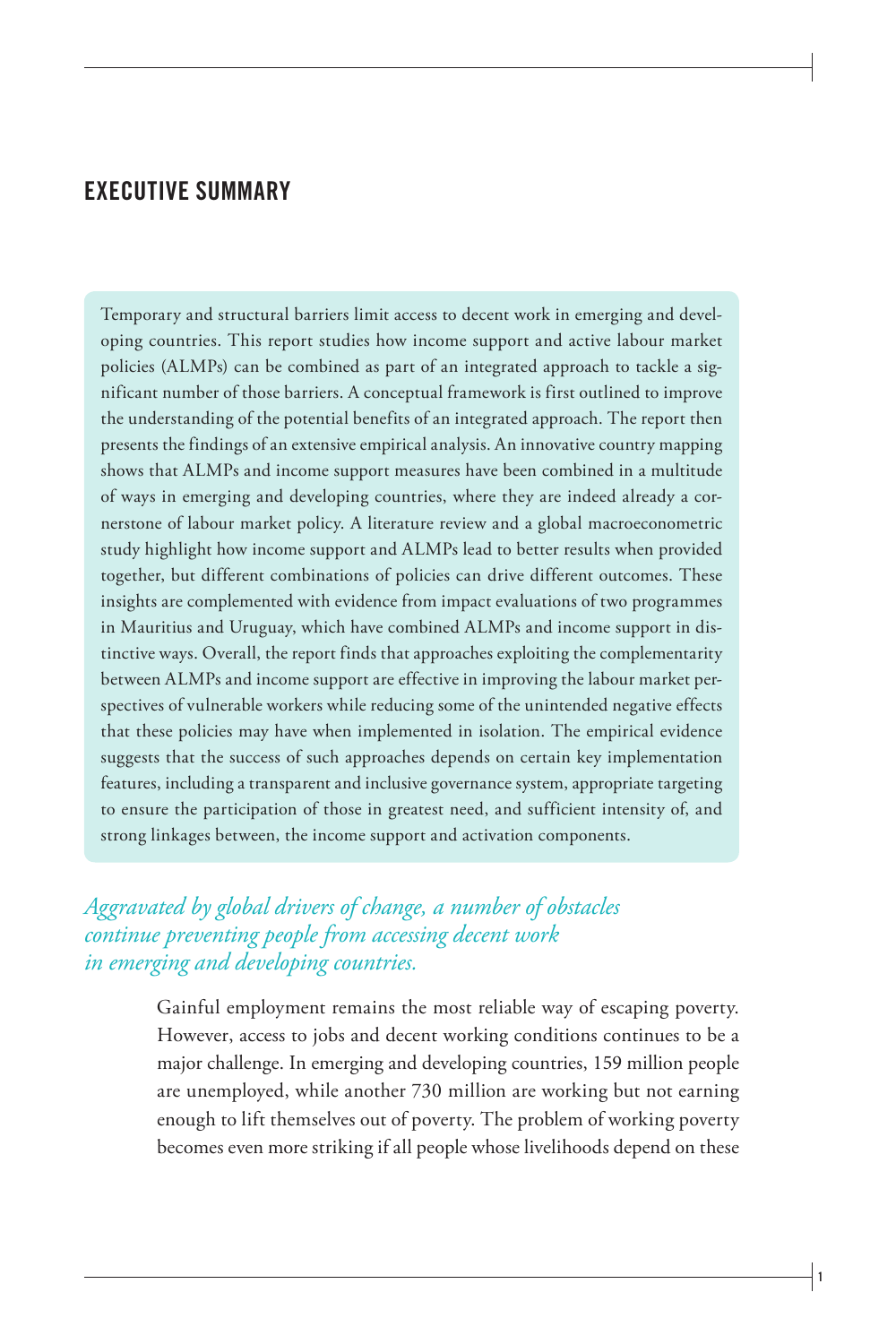## **EXECUTIVE SUMMARY**

Temporary and structural barriers limit access to decent work in emerging and developing countries. This report studies how income support and active labour market policies (ALMPs) can be combined as part of an integrated approach to tackle a significant number of those barriers. A conceptual framework is first outlined to improve the understanding of the potential benefits of an integrated approach. The report then presents the findings of an extensive empirical analysis. An innovative country mapping shows that ALMPs and income support measures have been combined in a multitude of ways in emerging and developing countries, where they are indeed already a cornerstone of labour market policy. A literature review and a global macroeconometric study highlight how income support and ALMPs lead to better results when provided together, but different combinations of policies can drive different outcomes. These insights are complemented with evidence from impact evaluations of two programmes in Mauritius and Uruguay, which have combined ALMPs and income support in distinctive ways. Overall, the report finds that approaches exploiting the complementarity between ALMPs and income support are effective in improving the labour market perspectives of vulnerable workers while reducing some of the unintended negative effects that these policies may have when implemented in isolation. The empirical evidence suggests that the success of such approaches depends on certain key implementation features, including a transparent and inclusive governance system, appropriate targeting to ensure the participation of those in greatest need, and sufficient intensity of, and strong linkages between, the income support and activation components.

## *Aggravated by global drivers of change, a number of obstacles continue preventing people from accessing decent work in emerging and developing countries.*

Gainful employment remains the most reliable way of escaping poverty. However, access to jobs and decent working conditions continues to be a major challenge. In emerging and developing countries, 159 million people are unemployed, while another 730 million are working but not earning enough to lift themselves out of poverty. The problem of working poverty becomes even more striking if all people whose livelihoods depend on these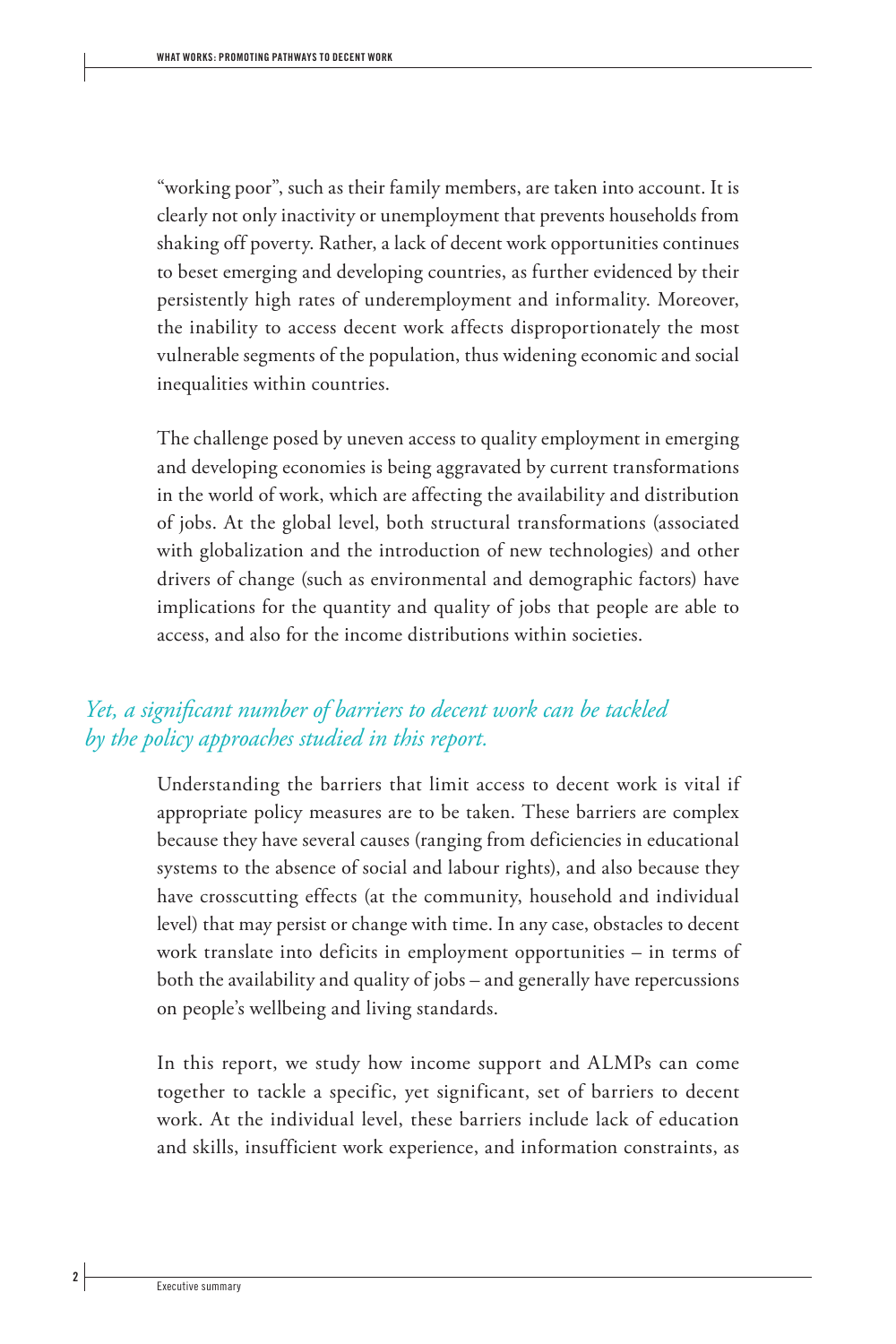"working poor", such as their family members, are taken into account. It is clearly not only inactivity or unemployment that prevents households from shaking off poverty. Rather, a lack of decent work opportunities continues to beset emerging and developing countries, as further evidenced by their persistently high rates of underemployment and informality. Moreover, the inability to access decent work affects disproportionately the most vulnerable segments of the population, thus widening economic and social inequalities within countries.

The challenge posed by uneven access to quality employment in emerging and developing economies is being aggravated by current transformations in the world of work, which are affecting the availability and distribution of jobs. At the global level, both structural transformations (associated with globalization and the introduction of new technologies) and other drivers of change (such as environmental and demographic factors) have implications for the quantity and quality of jobs that people are able to access, and also for the income distributions within societies.

## *Yet, a significant number of barriers to decent work can be tackled by the policy approaches studied in this report.*

Understanding the barriers that limit access to decent work is vital if appropriate policy measures are to be taken. These barriers are complex because they have several causes (ranging from deficiencies in educational systems to the absence of social and labour rights), and also because they have crosscutting effects (at the community, household and individual level) that may persist or change with time. In any case, obstacles to decent work translate into deficits in employment opportunities – in terms of both the availability and quality of jobs – and generally have repercussions on people's wellbeing and living standards.

In this report, we study how income support and ALMPs can come together to tackle a specific, yet significant, set of barriers to decent work. At the individual level, these barriers include lack of education and skills, insufficient work experience, and information constraints, as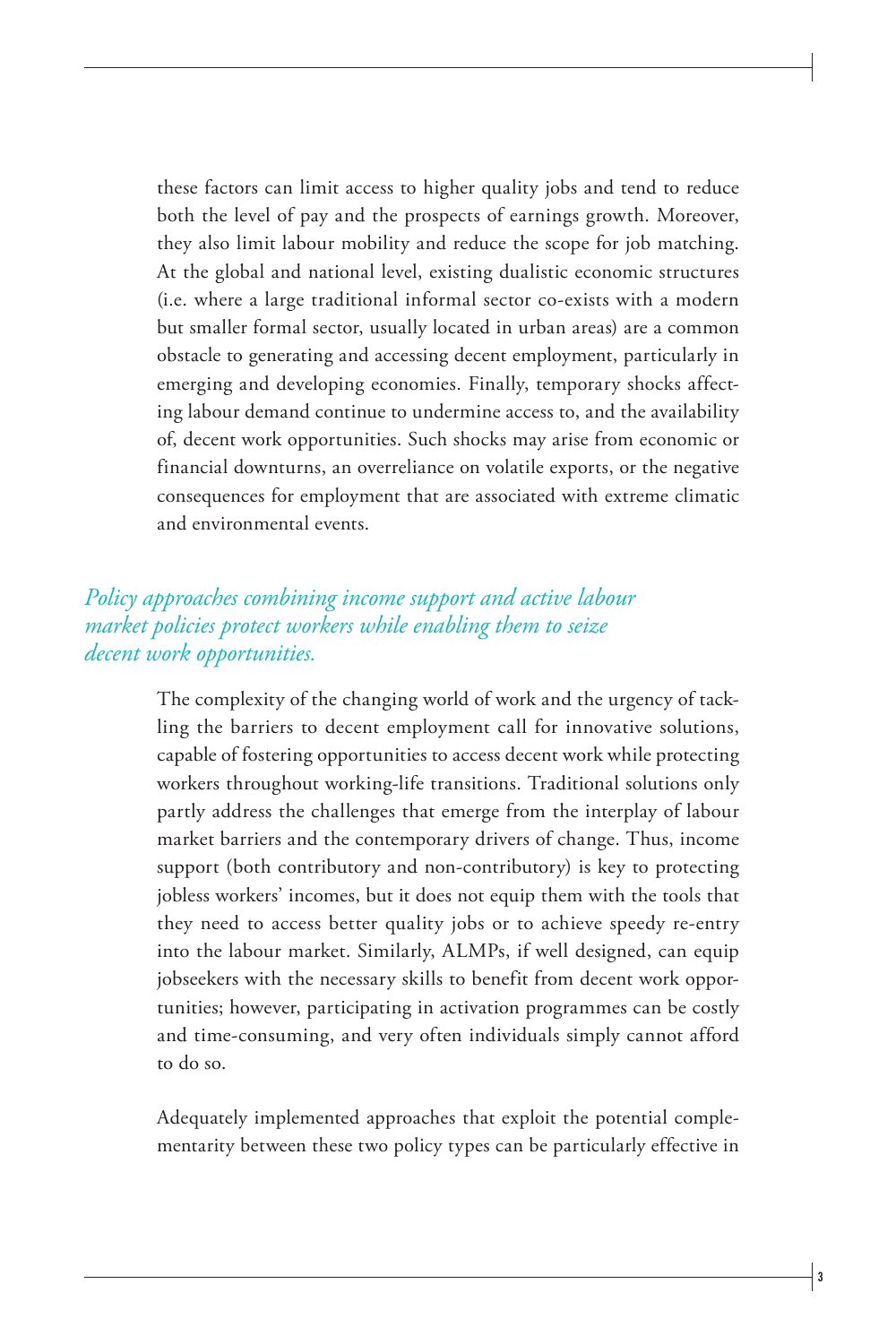these factors can limit access to higher quality jobs and tend to reduce both the level of pay and the prospects of earnings growth. Moreover, they also limit labour mobility and reduce the scope for job matching. At the global and national level, existing dualistic economic structures (i.e. where a large traditional informal sector co-exists with a modern but smaller formal sector, usually located in urban areas) are a common obstacle to generating and accessing decent employment, particularly in emerging and developing economies. Finally, temporary shocks affecting labour demand continue to undermine access to, and the availability of, decent work opportunities. Such shocks may arise from economic or financial downturns, an overreliance on volatile exports, or the negative consequences for employment that are associated with extreme climatic and environmental events.

## *Policy approaches combining income support and active labour market policies protect workers while enabling them to seize decent work opportunities.*

The complexity of the changing world of work and the urgency of tackling the barriers to decent employment call for innovative solutions, capable of fostering opportunities to access decent work while protecting workers throughout working-life transitions. Traditional solutions only partly address the challenges that emerge from the interplay of labour market barriers and the contemporary drivers of change. Thus, income support (both contributory and non-contributory) is key to protecting jobless workers' incomes, but it does not equip them with the tools that they need to access better quality jobs or to achieve speedy re-entry into the labour market. Similarly, ALMPs, if well designed, can equip jobseekers with the necessary skills to benefit from decent work opportunities; however, participating in activation programmes can be costly and time-consuming, and very often individuals simply cannot afford to do so.

Adequately implemented approaches that exploit the potential complementarity between these two policy types can be particularly effective in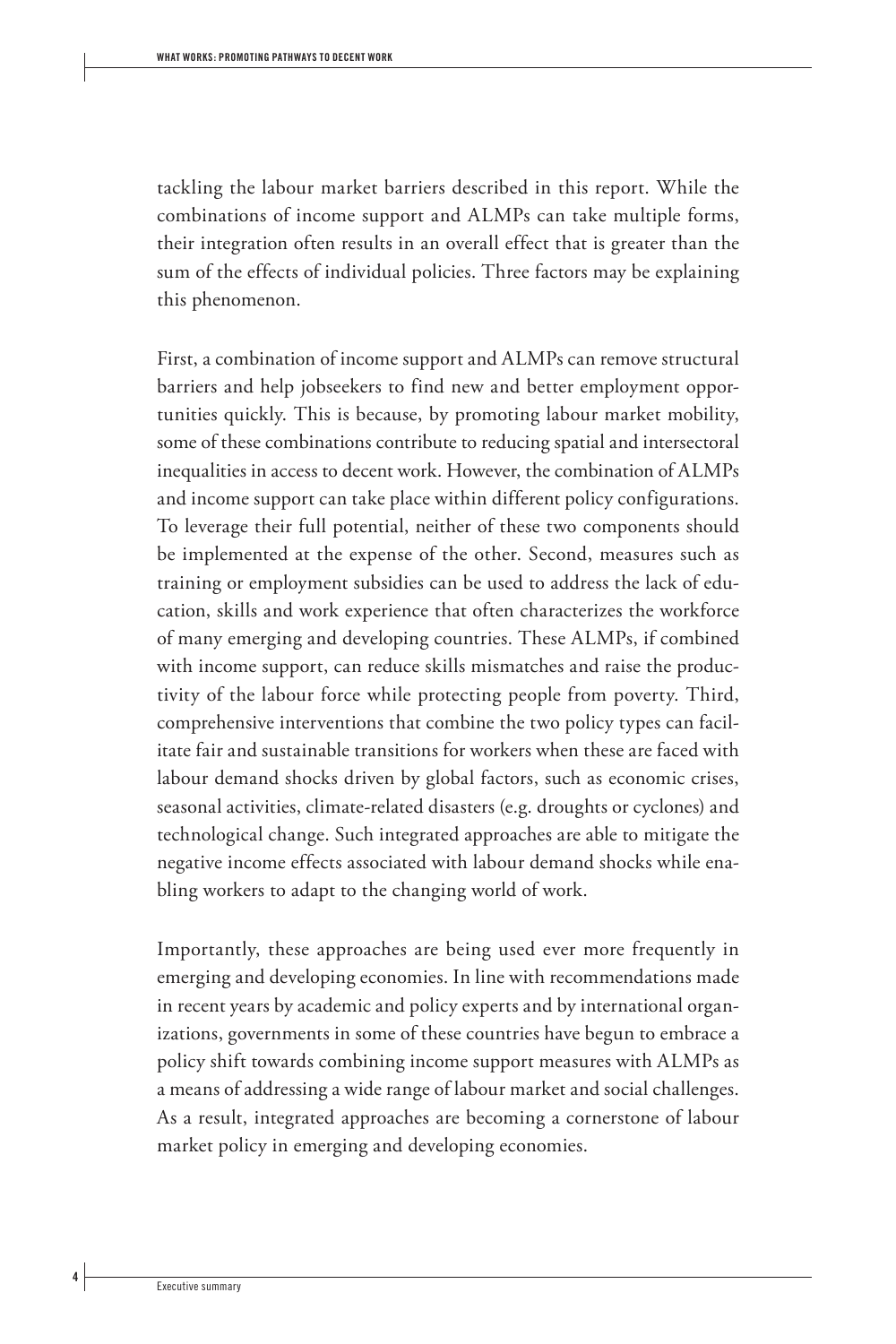tackling the labour market barriers described in this report. While the combinations of income support and ALMPs can take multiple forms, their integration often results in an overall effect that is greater than the sum of the effects of individual policies. Three factors may be explaining this phenomenon.

First, a combination of income support and ALMPs can remove structural barriers and help jobseekers to find new and better employment opportunities quickly. This is because, by promoting labour market mobility, some of these combinations contribute to reducing spatial and intersectoral inequalities in access to decent work. However, the combination of ALMPs and income support can take place within different policy configurations. To leverage their full potential, neither of these two components should be implemented at the expense of the other. Second, measures such as training or employment subsidies can be used to address the lack of education, skills and work experience that often characterizes the workforce of many emerging and developing countries. These ALMPs, if combined with income support, can reduce skills mismatches and raise the productivity of the labour force while protecting people from poverty. Third, comprehensive interventions that combine the two policy types can facilitate fair and sustainable transitions for workers when these are faced with labour demand shocks driven by global factors, such as economic crises, seasonal activities, climate-related disasters (e.g. droughts or cyclones) and technological change. Such integrated approaches are able to mitigate the negative income effects associated with labour demand shocks while enabling workers to adapt to the changing world of work.

Importantly, these approaches are being used ever more frequently in emerging and developing economies. In line with recommendations made in recent years by academic and policy experts and by international organizations, governments in some of these countries have begun to embrace a policy shift towards combining income support measures with ALMPs as a means of addressing a wide range of labour market and social challenges. As a result, integrated approaches are becoming a cornerstone of labour market policy in emerging and developing economies.

 **4**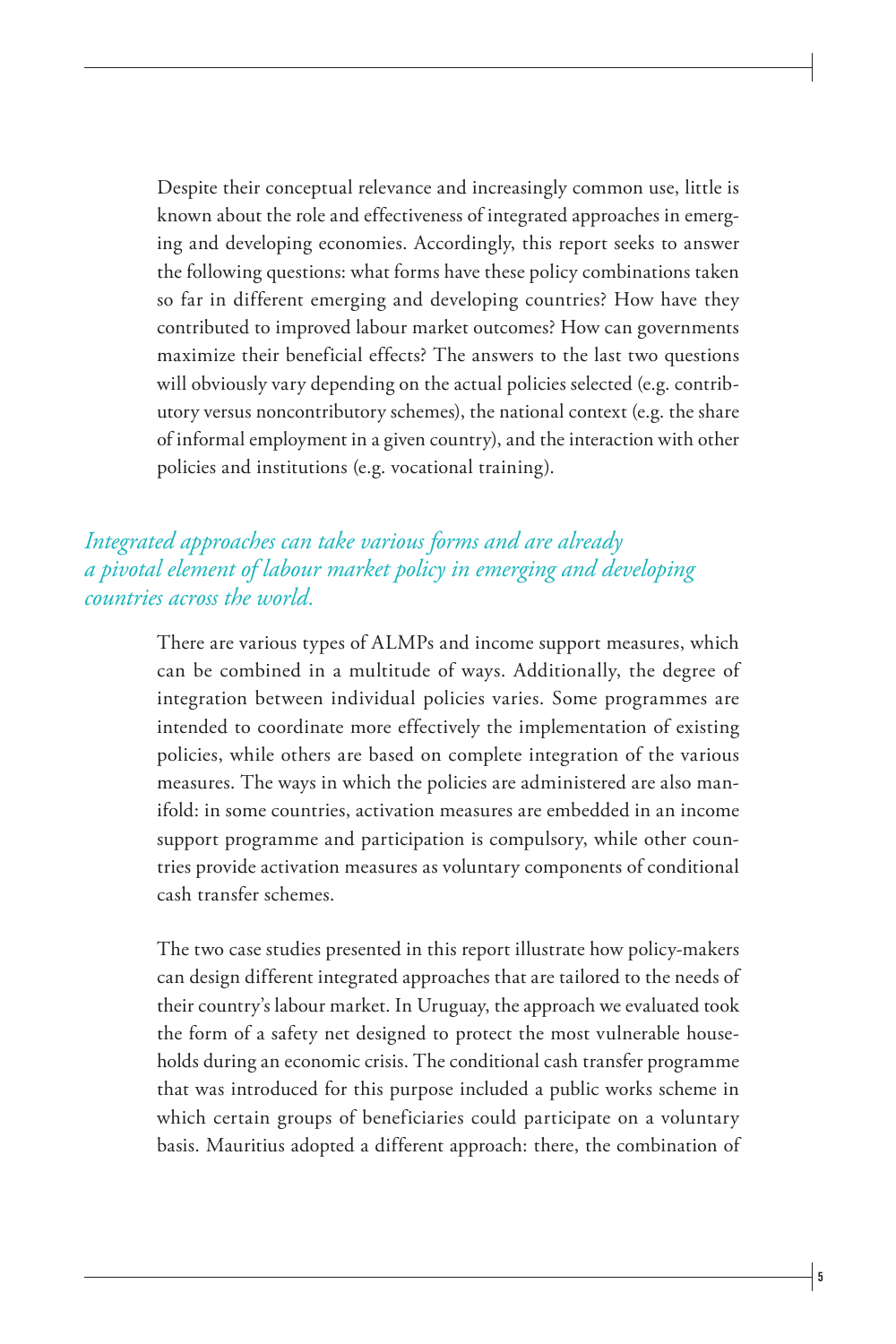Despite their conceptual relevance and increasingly common use, little is known about the role and effectiveness of integrated approaches in emerging and developing economies. Accordingly, this report seeks to answer the following questions: what forms have these policy combinations taken so far in different emerging and developing countries? How have they contributed to improved labour market outcomes? How can governments maximize their beneficial effects? The answers to the last two questions will obviously vary depending on the actual policies selected (e.g. contributory versus noncontributory schemes), the national context (e.g. the share of informal employment in a given country), and the interaction with other policies and institutions (e.g. vocational training).

## *Integrated approaches can take various forms and are already a pivotal element of labour market policy in emerging and developing countries across the world.*

There are various types of ALMPs and income support measures, which can be combined in a multitude of ways. Additionally, the degree of integration between individual policies varies. Some programmes are intended to coordinate more effectively the implementation of existing policies, while others are based on complete integration of the various measures. The ways in which the policies are administered are also manifold: in some countries, activation measures are embedded in an income support programme and participation is compulsory, while other countries provide activation measures as voluntary components of conditional cash transfer schemes.

The two case studies presented in this report illustrate how policy-makers can design different integrated approaches that are tailored to the needs of their country's labour market. In Uruguay, the approach we evaluated took the form of a safety net designed to protect the most vulnerable households during an economic crisis. The conditional cash transfer programme that was introduced for this purpose included a public works scheme in which certain groups of beneficiaries could participate on a voluntary basis. Mauritius adopted a different approach: there, the combination of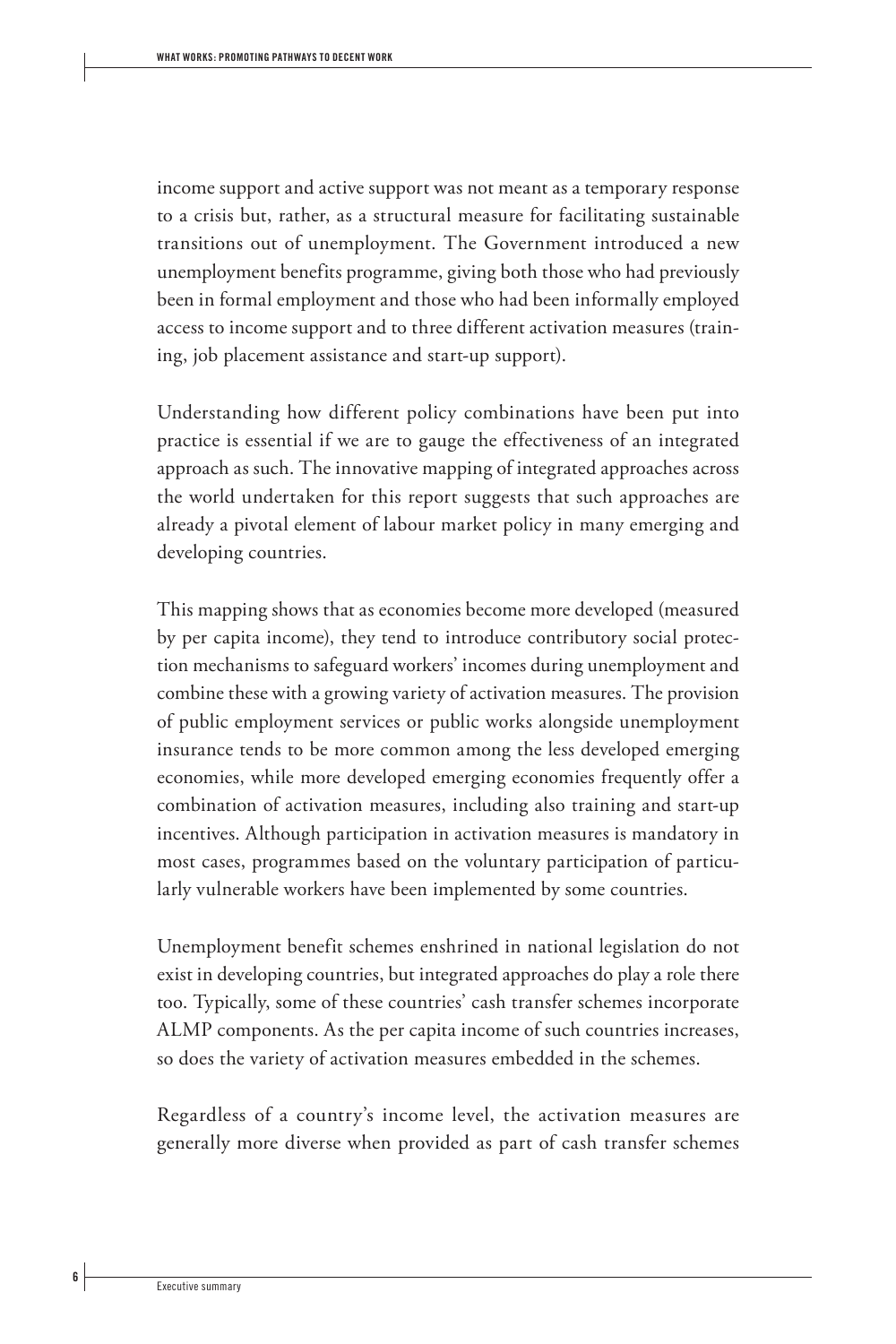income support and active support was not meant as a temporary response to a crisis but, rather, as a structural measure for facilitating sustainable transitions out of unemployment. The Government introduced a new unemployment benefits programme, giving both those who had previously been in formal employment and those who had been informally employed access to income support and to three different activation measures (training, job placement assistance and start-up support).

Understanding how different policy combinations have been put into practice is essential if we are to gauge the effectiveness of an integrated approach as such. The innovative mapping of integrated approaches across the world undertaken for this report suggests that such approaches are already a pivotal element of labour market policy in many emerging and developing countries.

This mapping shows that as economies become more developed (measured by per capita income), they tend to introduce contributory social protection mechanisms to safeguard workers' incomes during unemployment and combine these with a growing variety of activation measures. The provision of public employment services or public works alongside unemployment insurance tends to be more common among the less developed emerging economies, while more developed emerging economies frequently offer a combination of activation measures, including also training and start-up incentives. Although participation in activation measures is mandatory in most cases, programmes based on the voluntary participation of particularly vulnerable workers have been implemented by some countries.

Unemployment benefit schemes enshrined in national legislation do not exist in developing countries, but integrated approaches do play a role there too. Typically, some of these countries' cash transfer schemes incorporate ALMP components. As the per capita income of such countries increases, so does the variety of activation measures embedded in the schemes.

Regardless of a country's income level, the activation measures are generally more diverse when provided as part of cash transfer schemes

 **6**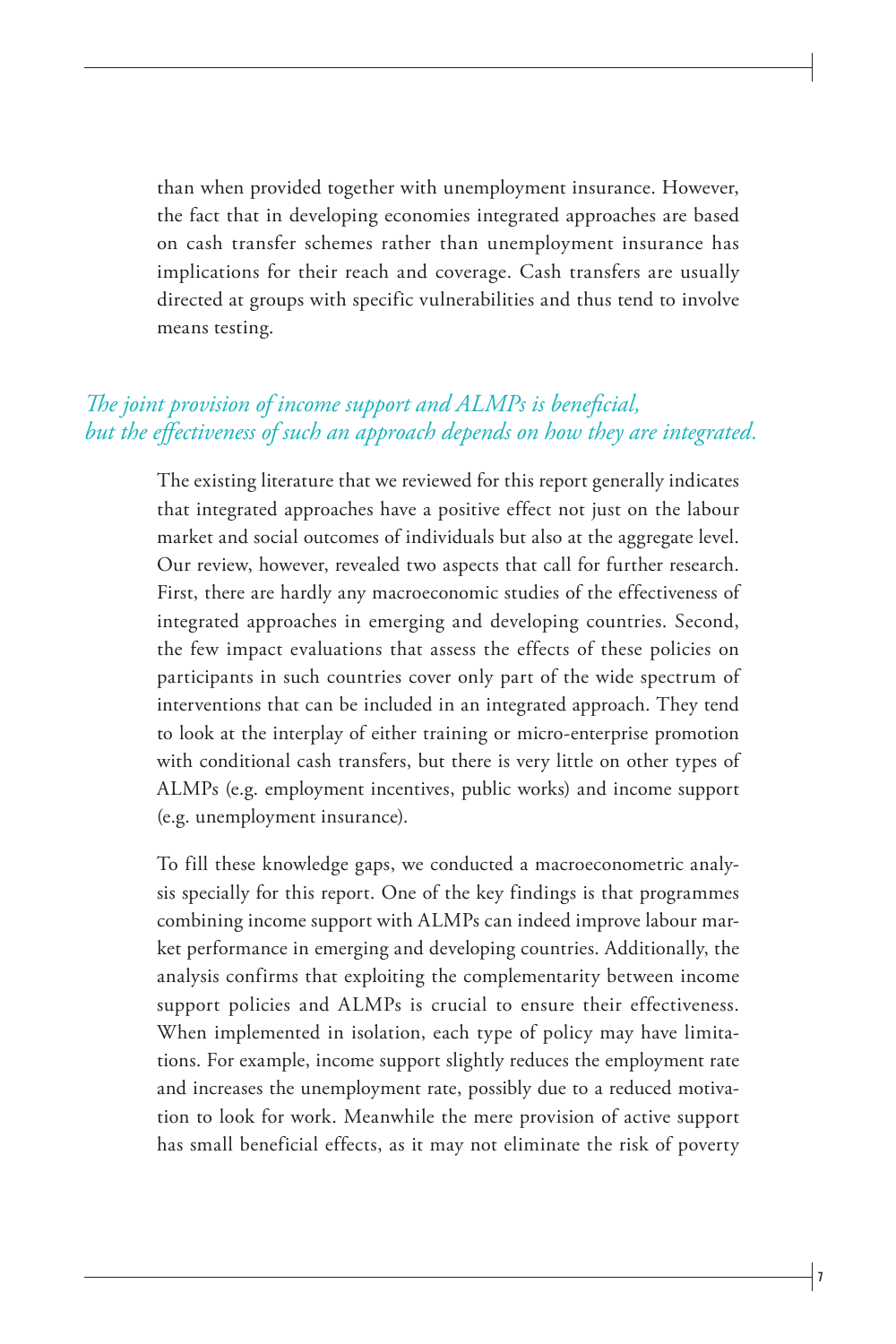than when provided together with unemployment insurance. However, the fact that in developing economies integrated approaches are based on cash transfer schemes rather than unemployment insurance has implications for their reach and coverage. Cash transfers are usually directed at groups with specific vulnerabilities and thus tend to involve means testing.

#### *The joint provision of income support and ALMPs is beneficial, but the effectiveness of such an approach depends on how they are integrated.*

The existing literature that we reviewed for this report generally indicates that integrated approaches have a positive effect not just on the labour market and social outcomes of individuals but also at the aggregate level. Our review, however, revealed two aspects that call for further research. First, there are hardly any macroeconomic studies of the effectiveness of integrated approaches in emerging and developing countries. Second, the few impact evaluations that assess the effects of these policies on participants in such countries cover only part of the wide spectrum of interventions that can be included in an integrated approach. They tend to look at the interplay of either training or micro-enterprise promotion with conditional cash transfers, but there is very little on other types of ALMPs (e.g. employment incentives, public works) and income support (e.g. unemployment insurance).

To fill these knowledge gaps, we conducted a macroeconometric analysis specially for this report. One of the key findings is that programmes combining income support with ALMPs can indeed improve labour market performance in emerging and developing countries. Additionally, the analysis confirms that exploiting the complementarity between income support policies and ALMPs is crucial to ensure their effectiveness. When implemented in isolation, each type of policy may have limitations. For example, income support slightly reduces the employment rate and increases the unemployment rate, possibly due to a reduced motivation to look for work. Meanwhile the mere provision of active support has small beneficial effects, as it may not eliminate the risk of poverty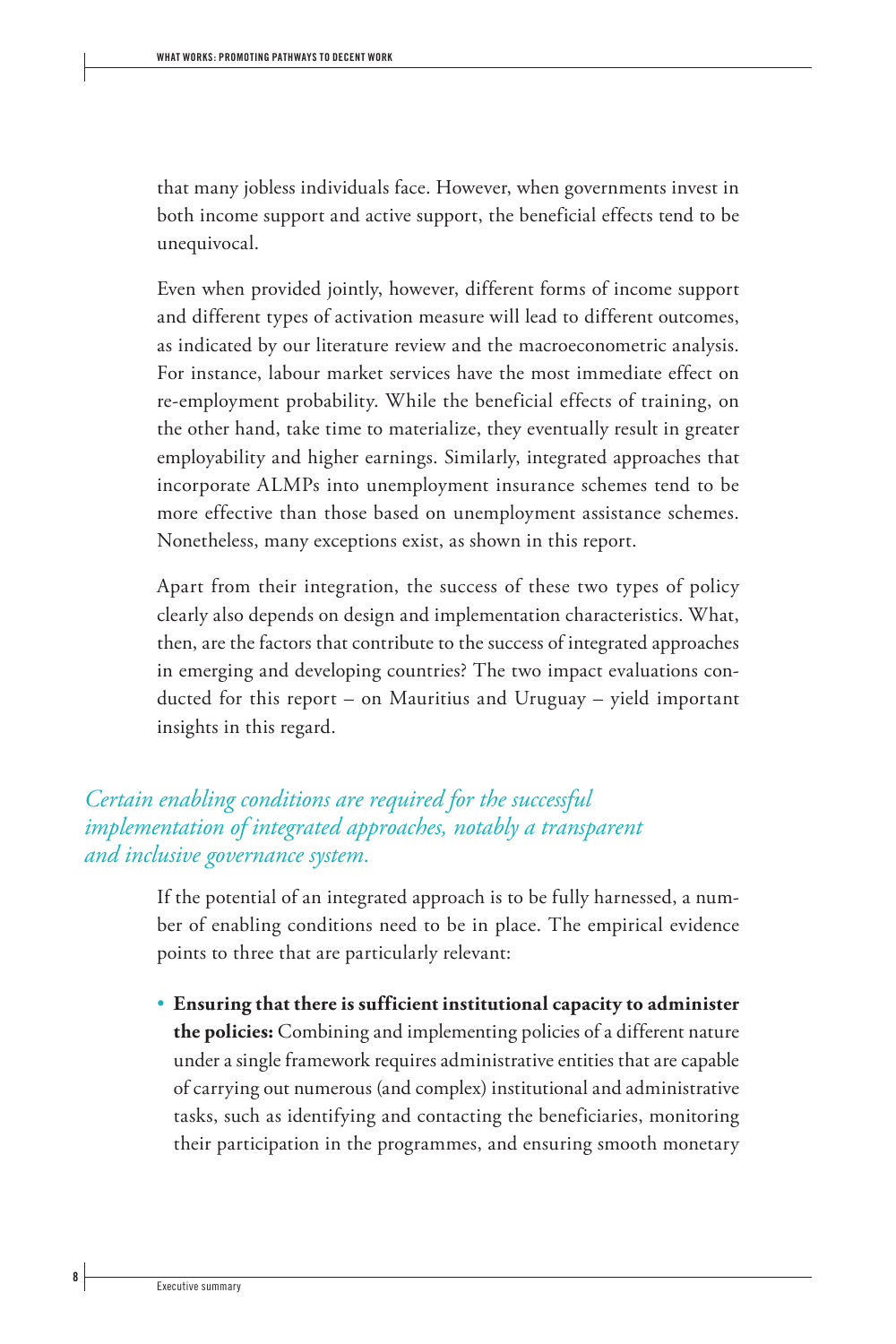that many jobless individuals face. However, when governments invest in both income support and active support, the beneficial effects tend to be unequivocal.

Even when provided jointly, however, different forms of income support and different types of activation measure will lead to different outcomes, as indicated by our literature review and the macroeconometric analysis. For instance, labour market services have the most immediate effect on re-employment probability. While the beneficial effects of training, on the other hand, take time to materialize, they eventually result in greater employability and higher earnings. Similarly, integrated approaches that incorporate ALMPs into unemployment insurance schemes tend to be more effective than those based on unemployment assistance schemes. Nonetheless, many exceptions exist, as shown in this report.

Apart from their integration, the success of these two types of policy clearly also depends on design and implementation characteristics. What, then, are the factors that contribute to the success of integrated approaches in emerging and developing countries? The two impact evaluations conducted for this report – on Mauritius and Uruguay – yield important insights in this regard.

## *Certain enabling conditions are required for the successful implementation of integrated approaches, notably a transparent and inclusive governance system.*

If the potential of an integrated approach is to be fully harnessed, a number of enabling conditions need to be in place. The empirical evidence points to three that are particularly relevant:

• **Ensuring that there is sufficient institutional capacity to administer the policies:** Combining and implementing policies of a different nature under a single framework requires administrative entities that are capable of carrying out numerous (and complex) institutional and administrative tasks, such as identifying and contacting the beneficiaries, monitoring their participation in the programmes, and ensuring smooth monetary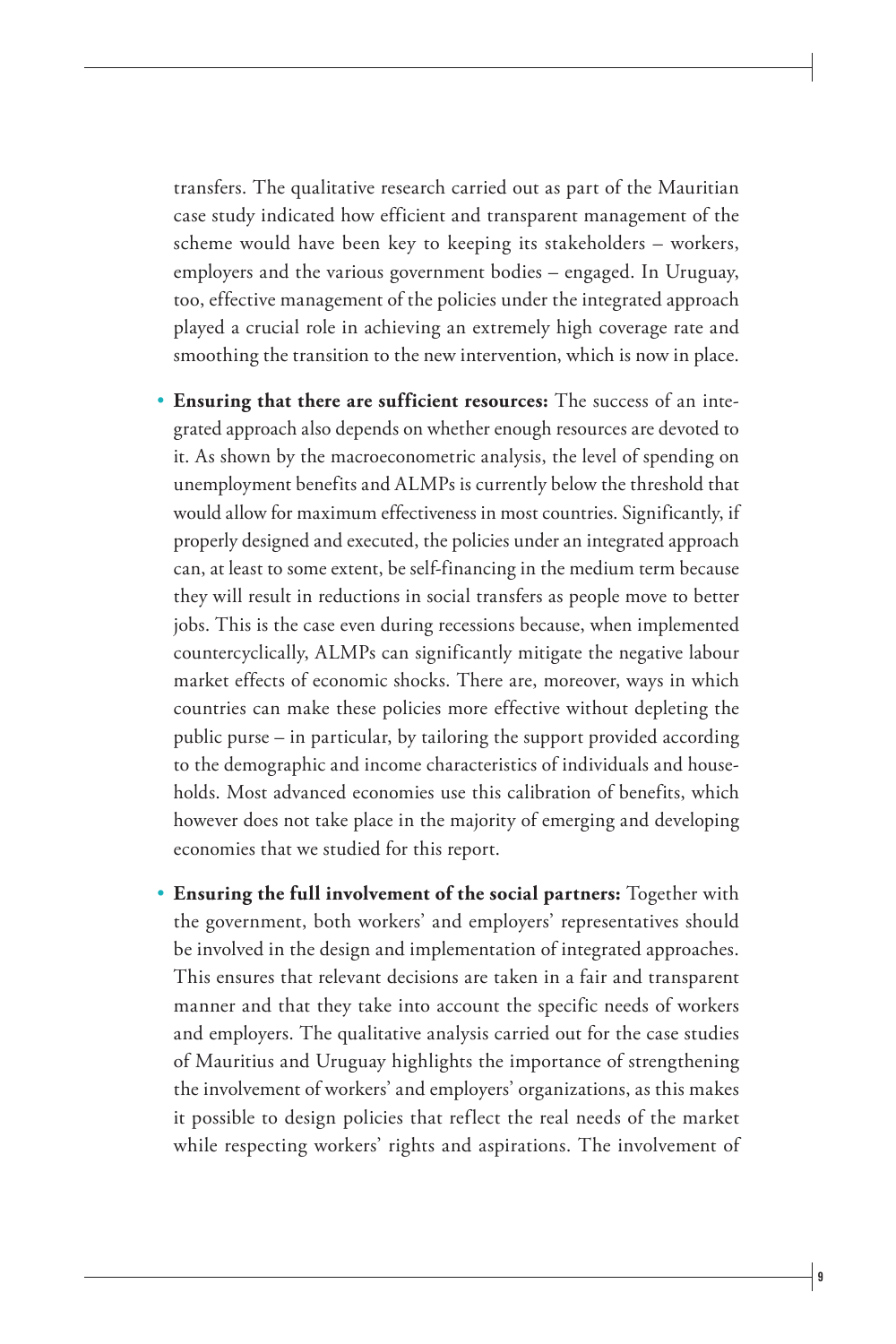transfers. The qualitative research carried out as part of the Mauritian case study indicated how efficient and transparent management of the scheme would have been key to keeping its stakeholders – workers, employers and the various government bodies – engaged. In Uruguay, too, effective management of the policies under the integrated approach played a crucial role in achieving an extremely high coverage rate and smoothing the transition to the new intervention, which is now in place.

- **Ensuring that there are sufficient resources:** The success of an integrated approach also depends on whether enough resources are devoted to it. As shown by the macroeconometric analysis, the level of spending on unemployment benefits and ALMPs is currently below the threshold that would allow for maximum effectiveness in most countries. Significantly, if properly designed and executed, the policies under an integrated approach can, at least to some extent, be self-financing in the medium term because they will result in reductions in social transfers as people move to better jobs. This is the case even during recessions because, when implemented countercyclically, ALMPs can significantly mitigate the negative labour market effects of economic shocks. There are, moreover, ways in which countries can make these policies more effective without depleting the public purse – in particular, by tailoring the support provided according to the demographic and income characteristics of individuals and households. Most advanced economies use this calibration of benefits, which however does not take place in the majority of emerging and developing economies that we studied for this report.
- **Ensuring the full involvement of the social partners:** Together with the government, both workers' and employers' representatives should be involved in the design and implementation of integrated approaches. This ensures that relevant decisions are taken in a fair and transparent manner and that they take into account the specific needs of workers and employers. The qualitative analysis carried out for the case studies of Mauritius and Uruguay highlights the importance of strengthening the involvement of workers' and employers' organizations, as this makes it possible to design policies that reflect the real needs of the market while respecting workers' rights and aspirations. The involvement of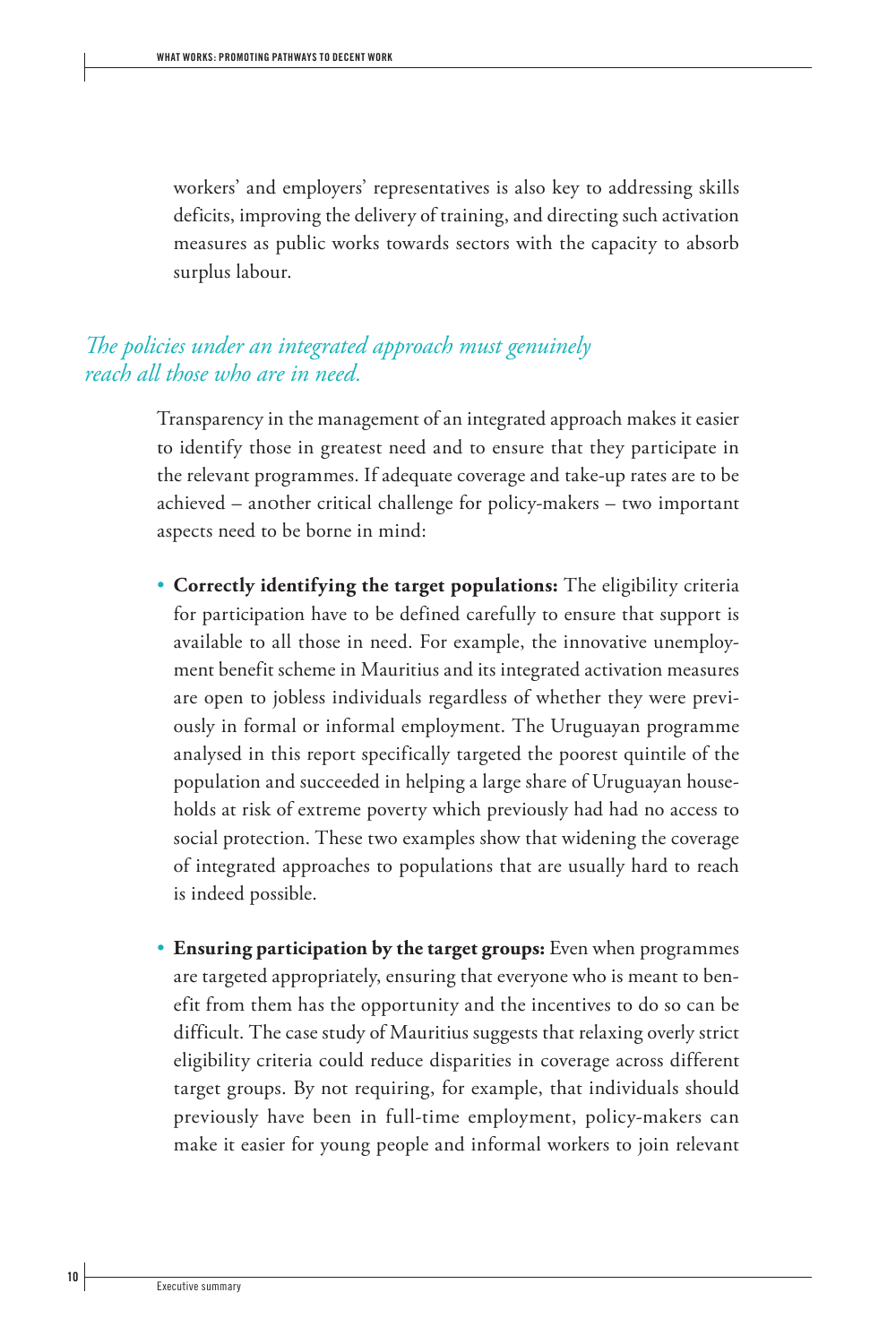workers' and employers' representatives is also key to addressing skills deficits, improving the delivery of training, and directing such activation measures as public works towards sectors with the capacity to absorb surplus labour.

## *The policies under an integrated approach must genuinely reach all those who are in need.*

Transparency in the management of an integrated approach makes it easier to identify those in greatest need and to ensure that they participate in the relevant programmes. If adequate coverage and take-up rates are to be achieved – another critical challenge for policy-makers – two important aspects need to be borne in mind:

- **Correctly identifying the target populations:** The eligibility criteria for participation have to be defined carefully to ensure that support is available to all those in need. For example, the innovative unemployment benefit scheme in Mauritius and its integrated activation measures are open to jobless individuals regardless of whether they were previously in formal or informal employment. The Uruguayan programme analysed in this report specifically targeted the poorest quintile of the population and succeeded in helping a large share of Uruguayan households at risk of extreme poverty which previously had had no access to social protection. These two examples show that widening the coverage of integrated approaches to populations that are usually hard to reach is indeed possible.
- **Ensuring participation by the target groups:** Even when programmes are targeted appropriately, ensuring that everyone who is meant to benefit from them has the opportunity and the incentives to do so can be difficult. The case study of Mauritius suggests that relaxing overly strict eligibility criteria could reduce disparities in coverage across different target groups. By not requiring, for example, that individuals should previously have been in full-time employment, policy-makers can make it easier for young people and informal workers to join relevant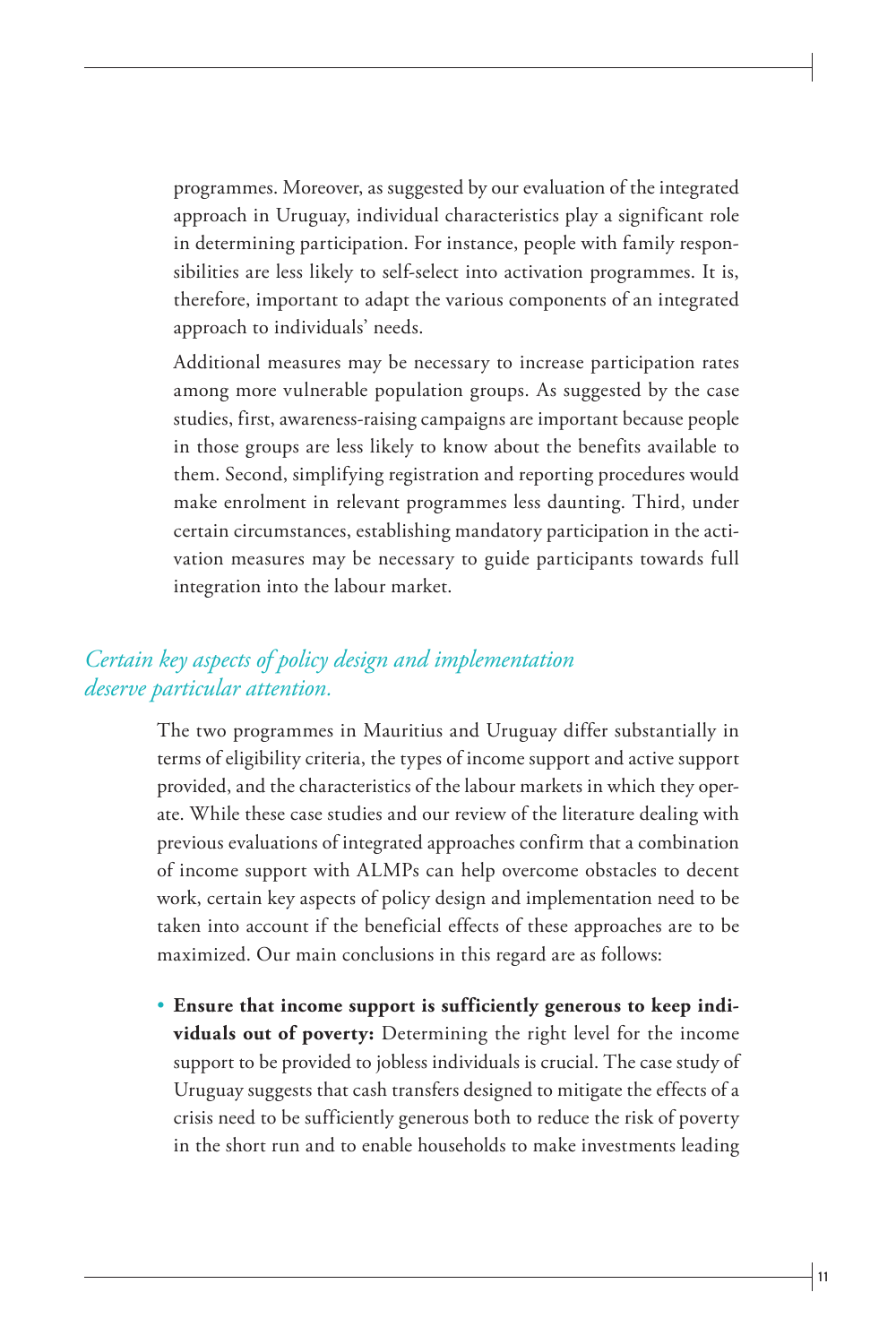programmes. Moreover, as suggested by our evaluation of the integrated approach in Uruguay, individual characteristics play a significant role in determining participation. For instance, people with family responsibilities are less likely to self-select into activation programmes. It is, therefore, important to adapt the various components of an integrated approach to individuals' needs.

Additional measures may be necessary to increase participation rates among more vulnerable population groups. As suggested by the case studies, first, awareness-raising campaigns are important because people in those groups are less likely to know about the benefits available to them. Second, simplifying registration and reporting procedures would make enrolment in relevant programmes less daunting. Third, under certain circumstances, establishing mandatory participation in the activation measures may be necessary to guide participants towards full integration into the labour market.

## *Certain key aspects of policy design and implementation deserve particular attention.*

The two programmes in Mauritius and Uruguay differ substantially in terms of eligibility criteria, the types of income support and active support provided, and the characteristics of the labour markets in which they operate. While these case studies and our review of the literature dealing with previous evaluations of integrated approaches confirm that a combination of income support with ALMPs can help overcome obstacles to decent work, certain key aspects of policy design and implementation need to be taken into account if the beneficial effects of these approaches are to be maximized. Our main conclusions in this regard are as follows:

• **Ensure that income support is sufficiently generous to keep individuals out of poverty:** Determining the right level for the income support to be provided to jobless individuals is crucial. The case study of Uruguay suggests that cash transfers designed to mitigate the effects of a crisis need to be sufficiently generous both to reduce the risk of poverty in the short run and to enable households to make investments leading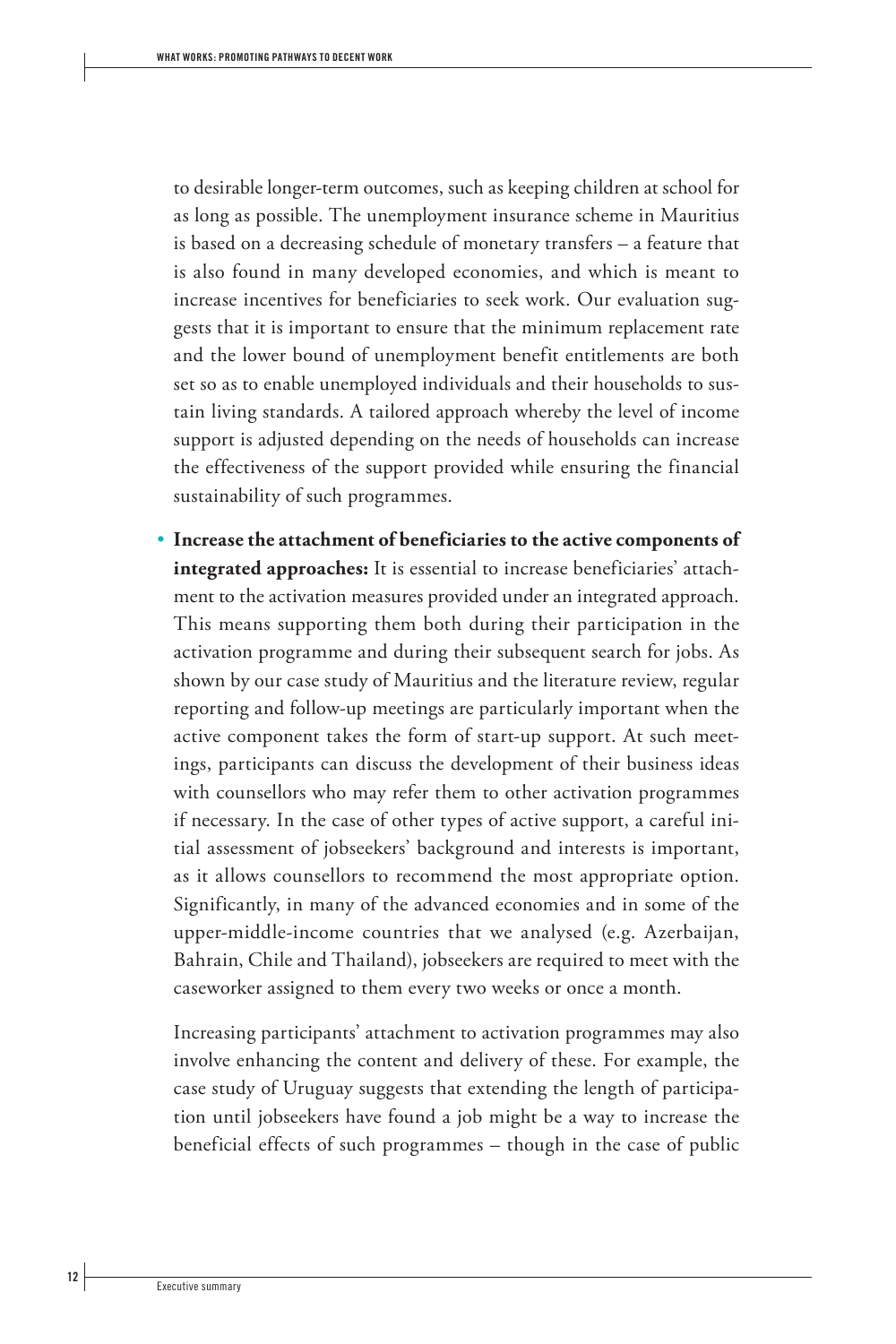to desirable longer-term outcomes, such as keeping children at school for as long as possible. The unemployment insurance scheme in Mauritius is based on a decreasing schedule of monetary transfers – a feature that is also found in many developed economies, and which is meant to increase incentives for beneficiaries to seek work. Our evaluation suggests that it is important to ensure that the minimum replacement rate and the lower bound of unemployment benefit entitlements are both set so as to enable unemployed individuals and their households to sustain living standards. A tailored approach whereby the level of income support is adjusted depending on the needs of households can increase the effectiveness of the support provided while ensuring the financial sustainability of such programmes.

• **Increase the attachment of beneficiaries to the active components of integrated approaches:** It is essential to increase beneficiaries' attachment to the activation measures provided under an integrated approach. This means supporting them both during their participation in the activation programme and during their subsequent search for jobs. As shown by our case study of Mauritius and the literature review, regular reporting and follow-up meetings are particularly important when the active component takes the form of start-up support. At such meetings, participants can discuss the development of their business ideas with counsellors who may refer them to other activation programmes if necessary. In the case of other types of active support, a careful initial assessment of jobseekers' background and interests is important, as it allows counsellors to recommend the most appropriate option. Significantly, in many of the advanced economies and in some of the upper-middle-income countries that we analysed (e.g. Azerbaijan, Bahrain, Chile and Thailand), jobseekers are required to meet with the caseworker assigned to them every two weeks or once a month.

Increasing participants' attachment to activation programmes may also involve enhancing the content and delivery of these. For example, the case study of Uruguay suggests that extending the length of participation until jobseekers have found a job might be a way to increase the beneficial effects of such programmes – though in the case of public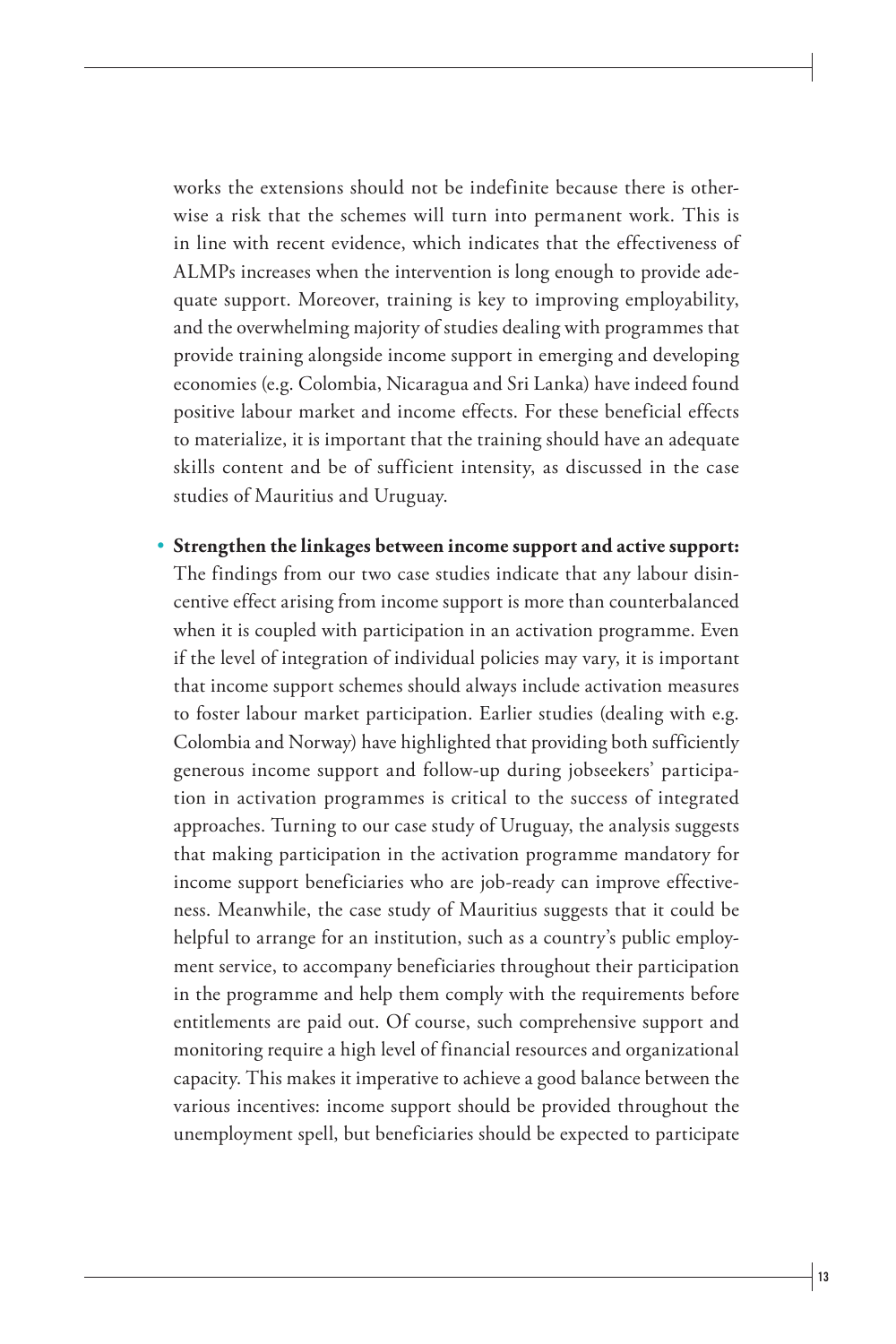works the extensions should not be indefinite because there is otherwise a risk that the schemes will turn into permanent work. This is in line with recent evidence, which indicates that the effectiveness of ALMPs increases when the intervention is long enough to provide adequate support. Moreover, training is key to improving employability, and the overwhelming majority of studies dealing with programmes that provide training alongside income support in emerging and developing economies (e.g. Colombia, Nicaragua and Sri Lanka) have indeed found positive labour market and income effects. For these beneficial effects to materialize, it is important that the training should have an adequate skills content and be of sufficient intensity, as discussed in the case studies of Mauritius and Uruguay.

• **Strengthen the linkages between income support and active support:**  The findings from our two case studies indicate that any labour disincentive effect arising from income support is more than counterbalanced when it is coupled with participation in an activation programme. Even if the level of integration of individual policies may vary, it is important that income support schemes should always include activation measures to foster labour market participation. Earlier studies (dealing with e.g. Colombia and Norway) have highlighted that providing both sufficiently generous income support and follow-up during jobseekers' participation in activation programmes is critical to the success of integrated approaches. Turning to our case study of Uruguay, the analysis suggests that making participation in the activation programme mandatory for income support beneficiaries who are job-ready can improve effectiveness. Meanwhile, the case study of Mauritius suggests that it could be helpful to arrange for an institution, such as a country's public employment service, to accompany beneficiaries throughout their participation in the programme and help them comply with the requirements before entitlements are paid out. Of course, such comprehensive support and monitoring require a high level of financial resources and organizational capacity. This makes it imperative to achieve a good balance between the various incentives: income support should be provided throughout the unemployment spell, but beneficiaries should be expected to participate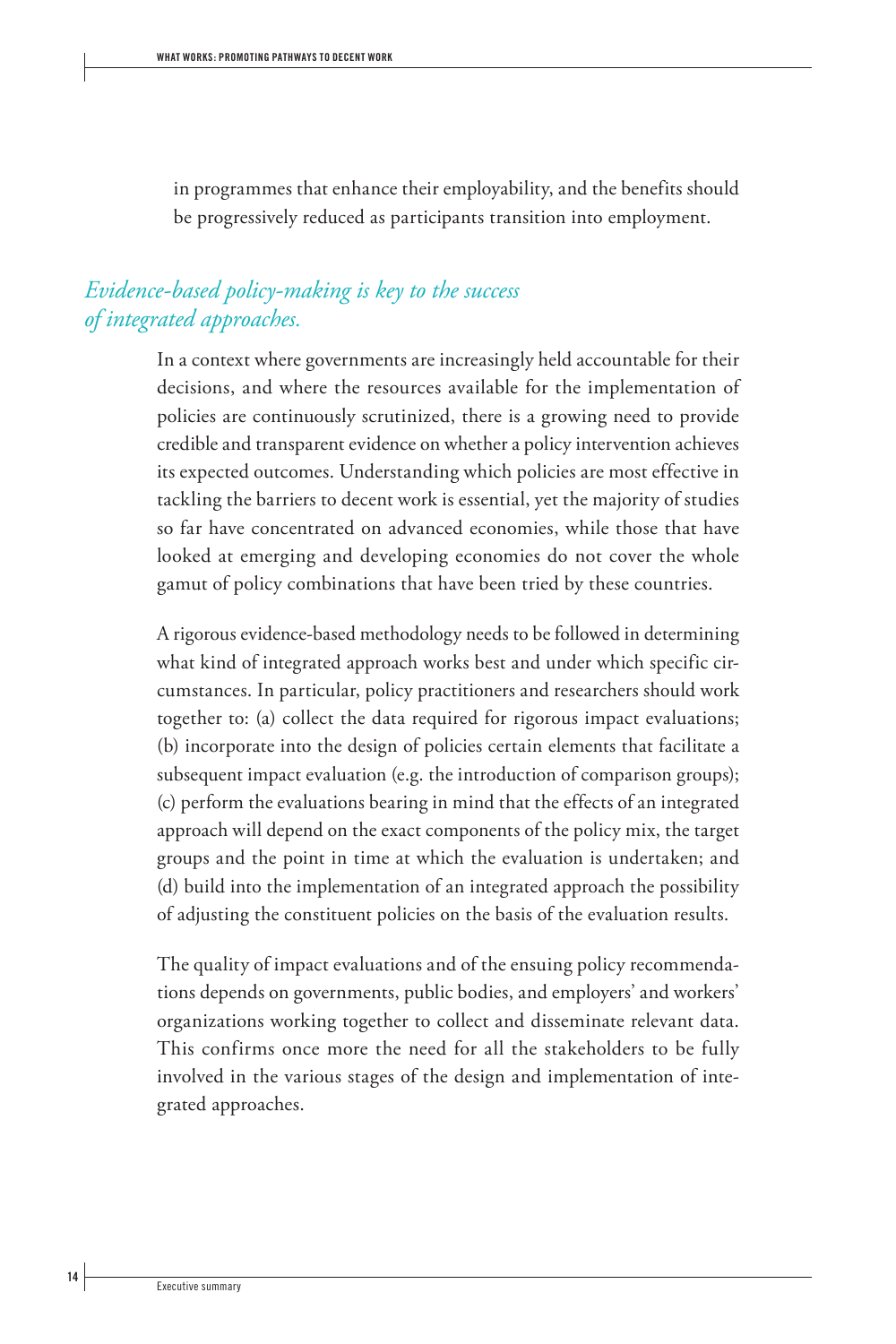in programmes that enhance their employability, and the benefits should be progressively reduced as participants transition into employment.

## *Evidence-based policy-making is key to the success of integrated approaches.*

In a context where governments are increasingly held accountable for their decisions, and where the resources available for the implementation of policies are continuously scrutinized, there is a growing need to provide credible and transparent evidence on whether a policy intervention achieves its expected outcomes. Understanding which policies are most effective in tackling the barriers to decent work is essential, yet the majority of studies so far have concentrated on advanced economies, while those that have looked at emerging and developing economies do not cover the whole gamut of policy combinations that have been tried by these countries.

A rigorous evidence-based methodology needs to be followed in determining what kind of integrated approach works best and under which specific circumstances. In particular, policy practitioners and researchers should work together to: (a) collect the data required for rigorous impact evaluations; (b) incorporate into the design of policies certain elements that facilitate a subsequent impact evaluation (e.g. the introduction of comparison groups); (c) perform the evaluations bearing in mind that the effects of an integrated approach will depend on the exact components of the policy mix, the target groups and the point in time at which the evaluation is undertaken; and (d) build into the implementation of an integrated approach the possibility of adjusting the constituent policies on the basis of the evaluation results.

The quality of impact evaluations and of the ensuing policy recommendations depends on governments, public bodies, and employers' and workers' organizations working together to collect and disseminate relevant data. This confirms once more the need for all the stakeholders to be fully involved in the various stages of the design and implementation of integrated approaches.